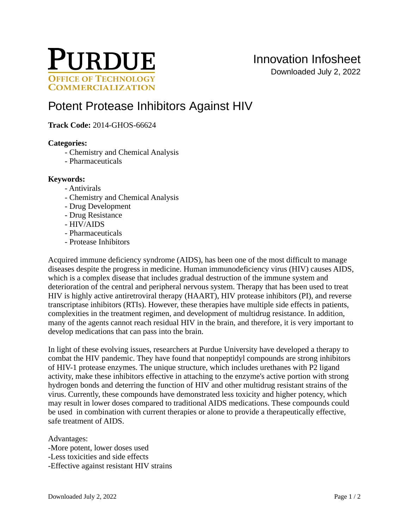

Downloaded July 2, 2022

# [Potent Protease Inhibitors Against HIV](https://inventions.prf.org/innovation/4882)

# **Track Code:** 2014-GHOS-66624

## **Categories:**

- Chemistry and Chemical Analysis
- Pharmaceuticals

## **Keywords:**

## - Antivirals

- Chemistry and Chemical Analysis
- Drug Development
- Drug Resistance
- HIV/AIDS
- Pharmaceuticals
- Protease Inhibitors

Acquired immune deficiency syndrome (AIDS), has been one of the most difficult to manage diseases despite the progress in medicine. Human immunodeficiency virus (HIV) causes AIDS, which is a complex disease that includes gradual destruction of the immune system and deterioration of the central and peripheral nervous system. Therapy that has been used to treat HIV is highly active antiretroviral therapy (HAART), HIV protease inhibitors (PI), and reverse transcriptase inhibitors (RTIs). However, these therapies have multiple side effects in patients, complexities in the treatment regimen, and development of multidrug resistance. In addition, many of the agents cannot reach residual HIV in the brain, and therefore, it is very important to develop medications that can pass into the brain.

In light of these evolving issues, researchers at Purdue University have developed a therapy to combat the HIV pandemic. They have found that nonpeptidyl compounds are strong inhibitors of HIV-1 protease enzymes. The unique structure, which includes urethanes with P2 ligand activity, make these inhibitors effective in attaching to the enzyme's active portion with strong hydrogen bonds and deterring the function of HIV and other multidrug resistant strains of the virus. Currently, these compounds have demonstrated less toxicity and higher potency, which may result in lower doses compared to traditional AIDS medications. These compounds could be used in combination with current therapies or alone to provide a therapeutically effective, safe treatment of AIDS.

Advantages: -More potent, lower doses used -Less toxicities and side effects -Effective against resistant HIV strains